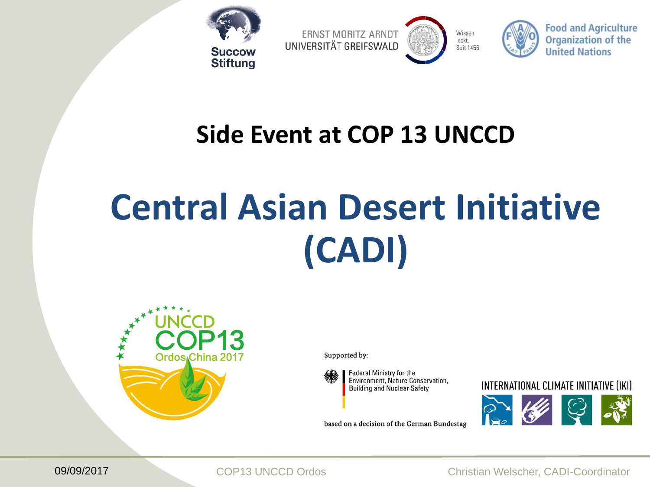

**ERNST MORITZ ARNDT** UNIVERSITÄT GREIFSWALD







### **Side Event at COP 13 UNCCD**

# **Central Asian Desert Initiative (CADI)**



Supported by:



Federal Ministry for the Environment, Nature Conservation, **Building and Nuclear Safety** 

based on a decision of the German Bundestag

#### INTERNATIONAL CLIMATE INITIATIVE (IKI)



09/09/2017 COP13 UNCCD Ordos Christian Welscher, CADI-Coordinator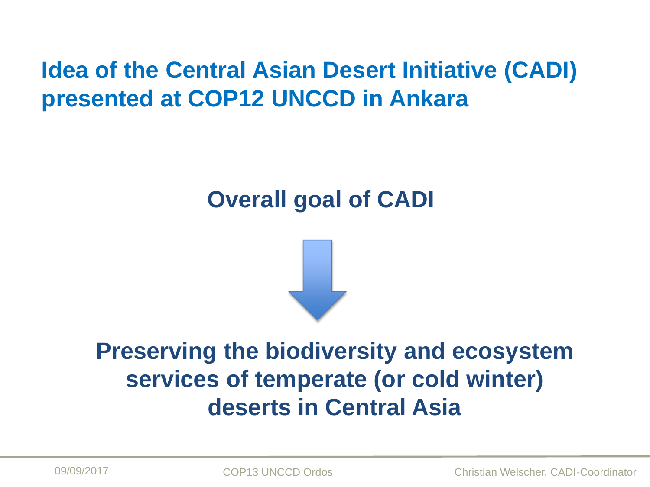### **Idea of the Central Asian Desert Initiative (CADI) presented at COP12 UNCCD in Ankara**

### **Overall goal of CADI**



### **Preserving the biodiversity and ecosystem services of temperate (or cold winter) deserts in Central Asia**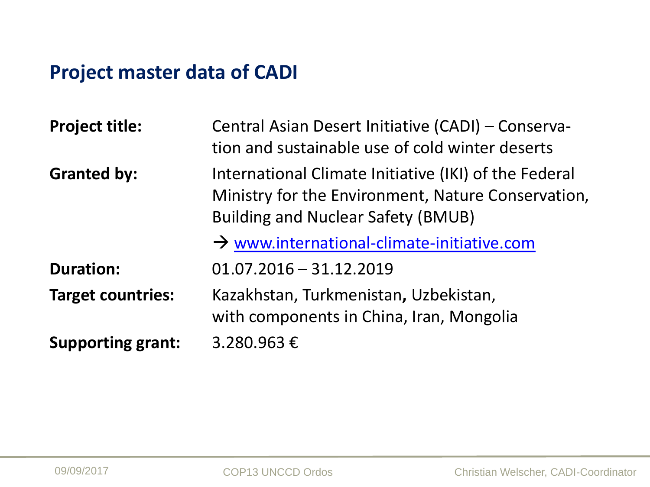### **Project master data of CADI**

| <b>Project title:</b>    | Central Asian Desert Initiative (CADI) - Conserva-<br>tion and sustainable use of cold winter deserts                                                    |
|--------------------------|----------------------------------------------------------------------------------------------------------------------------------------------------------|
| <b>Granted by:</b>       | International Climate Initiative (IKI) of the Federal<br>Ministry for the Environment, Nature Conservation,<br><b>Building and Nuclear Safety (BMUB)</b> |
|                          | $\rightarrow$ www.international-climate-initiative.com                                                                                                   |
| <b>Duration:</b>         | $01.07.2016 - 31.12.2019$                                                                                                                                |
| <b>Target countries:</b> | Kazakhstan, Turkmenistan, Uzbekistan,<br>with components in China, Iran, Mongolia                                                                        |
| <b>Supporting grant:</b> | 3.280.963€                                                                                                                                               |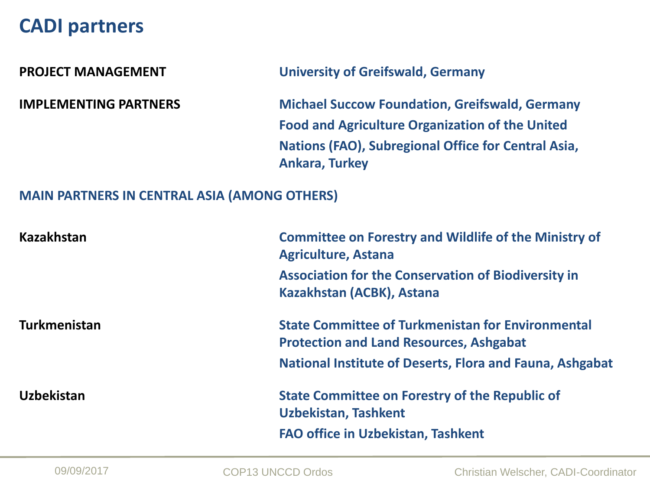#### **CADI partners**

**PROJECT MANAGEMENT University of Greifswald, Germany**

**IMPLEMENTING PARTNERS Michael Succow Foundation, Greifswald, Germany Food and Agriculture Organization of the United Nations (FAO), Subregional Office for Central Asia, Ankara, Turkey**

#### **MAIN PARTNERS IN CENTRAL ASIA (AMONG OTHERS)**

| <b>Kazakhstan</b>   | <b>Committee on Forestry and Wildlife of the Ministry of</b><br><b>Agriculture, Astana</b>                 |
|---------------------|------------------------------------------------------------------------------------------------------------|
|                     | <b>Association for the Conservation of Biodiversity in</b><br>Kazakhstan (ACBK), Astana                    |
| <b>Turkmenistan</b> | <b>State Committee of Turkmenistan for Environmental</b><br><b>Protection and Land Resources, Ashgabat</b> |
|                     | National Institute of Deserts, Flora and Fauna, Ashgabat                                                   |
| <b>Uzbekistan</b>   | <b>State Committee on Forestry of the Republic of</b><br><b>Uzbekistan, Tashkent</b>                       |
|                     | <b>FAO office in Uzbekistan, Tashkent</b>                                                                  |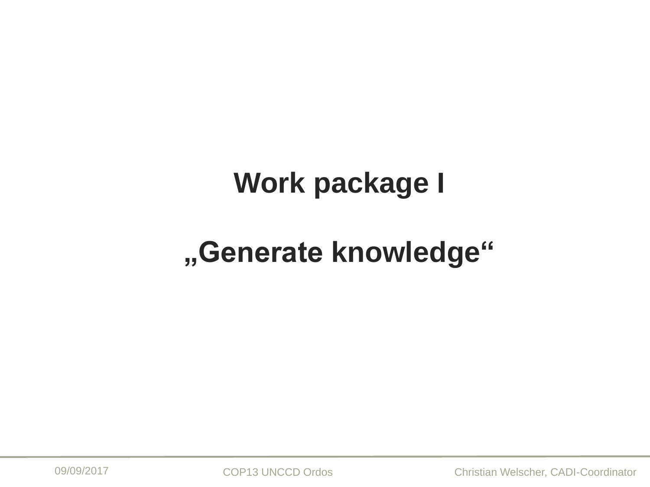## **Work package I**

## **"Generate knowledge"**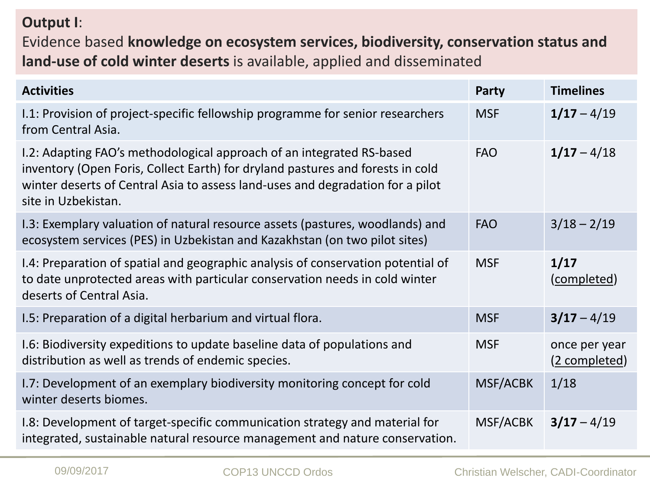#### **Output I**:

Evidence based **knowledge on ecosystem services, biodiversity, conservation status and land-use of cold winter deserts** is available, applied and disseminated

| <b>Activities</b>                                                                                                                                                                                                                                                | Party           | <b>Timelines</b>               |
|------------------------------------------------------------------------------------------------------------------------------------------------------------------------------------------------------------------------------------------------------------------|-----------------|--------------------------------|
| I.1: Provision of project-specific fellowship programme for senior researchers<br>from Central Asia.                                                                                                                                                             | <b>MSF</b>      | $1/17 - 4/19$                  |
| I.2: Adapting FAO's methodological approach of an integrated RS-based<br>inventory (Open Foris, Collect Earth) for dryland pastures and forests in cold<br>winter deserts of Central Asia to assess land-uses and degradation for a pilot<br>site in Uzbekistan. | <b>FAO</b>      | $1/17 - 4/18$                  |
| 1.3: Exemplary valuation of natural resource assets (pastures, woodlands) and<br>ecosystem services (PES) in Uzbekistan and Kazakhstan (on two pilot sites)                                                                                                      | <b>FAO</b>      | $3/18 - 2/19$                  |
| I.4: Preparation of spatial and geographic analysis of conservation potential of<br>to date unprotected areas with particular conservation needs in cold winter<br>deserts of Central Asia.                                                                      | <b>MSF</b>      | 1/17<br>(completed)            |
| I.5: Preparation of a digital herbarium and virtual flora.                                                                                                                                                                                                       | <b>MSF</b>      | $3/17 - 4/19$                  |
| I.6: Biodiversity expeditions to update baseline data of populations and<br>distribution as well as trends of endemic species.                                                                                                                                   | <b>MSF</b>      | once per year<br>(2 completed) |
| 1.7: Development of an exemplary biodiversity monitoring concept for cold<br>winter deserts biomes.                                                                                                                                                              | <b>MSF/ACBK</b> | 1/18                           |
| I.8: Development of target-specific communication strategy and material for<br>integrated, sustainable natural resource management and nature conservation.                                                                                                      | MSF/ACBK        | $3/17 - 4/19$                  |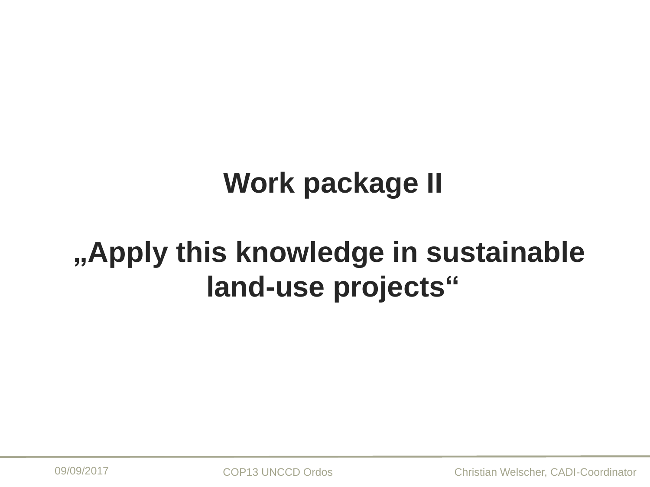## **Work package II**

## **"Apply this knowledge in sustainable land-use projects"**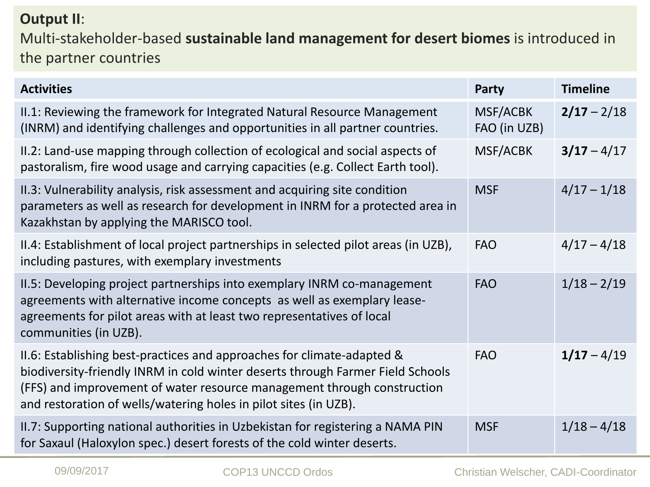#### **Output II**:

Multi-stakeholder-based **sustainable land management for desert biomes** is introduced in the partner countries

| <b>Activities</b>                                                                                                                                                                                                                                                                                       | Party                           | <b>Timeline</b> |
|---------------------------------------------------------------------------------------------------------------------------------------------------------------------------------------------------------------------------------------------------------------------------------------------------------|---------------------------------|-----------------|
| II.1: Reviewing the framework for Integrated Natural Resource Management<br>(INRM) and identifying challenges and opportunities in all partner countries.                                                                                                                                               | <b>MSF/ACBK</b><br>FAO (in UZB) | $2/17 - 2/18$   |
| II.2: Land-use mapping through collection of ecological and social aspects of<br>pastoralism, fire wood usage and carrying capacities (e.g. Collect Earth tool).                                                                                                                                        | MSF/ACBK                        | $3/17 - 4/17$   |
| II.3: Vulnerability analysis, risk assessment and acquiring site condition<br>parameters as well as research for development in INRM for a protected area in<br>Kazakhstan by applying the MARISCO tool.                                                                                                | <b>MSF</b>                      | $4/17 - 1/18$   |
| II.4: Establishment of local project partnerships in selected pilot areas (in UZB),<br>including pastures, with exemplary investments                                                                                                                                                                   | <b>FAO</b>                      | $4/17 - 4/18$   |
| II.5: Developing project partnerships into exemplary INRM co-management<br>agreements with alternative income concepts as well as exemplary lease-<br>agreements for pilot areas with at least two representatives of local<br>communities (in UZB).                                                    | <b>FAO</b>                      | $1/18 - 2/19$   |
| II.6: Establishing best-practices and approaches for climate-adapted &<br>biodiversity-friendly INRM in cold winter deserts through Farmer Field Schools<br>(FFS) and improvement of water resource management through construction<br>and restoration of wells/watering holes in pilot sites (in UZB). | <b>FAO</b>                      | $1/17 - 4/19$   |
| II.7: Supporting national authorities in Uzbekistan for registering a NAMA PIN<br>for Saxaul (Haloxylon spec.) desert forests of the cold winter deserts.                                                                                                                                               | <b>MSF</b>                      | $1/18 - 4/18$   |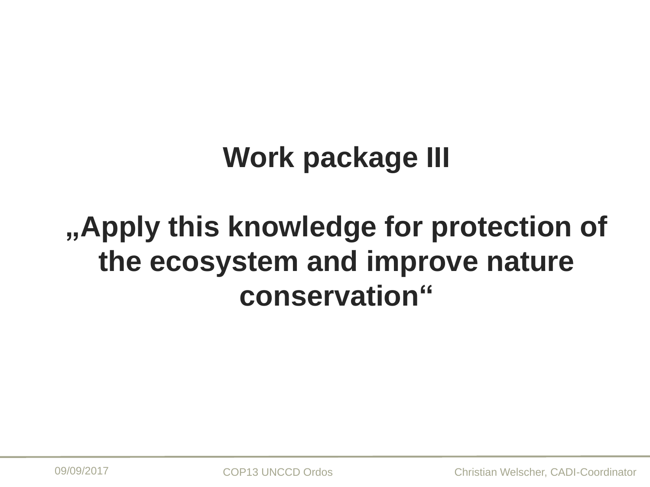## **Work package III**

## **"Apply this knowledge for protection of the ecosystem and improve nature conservation"**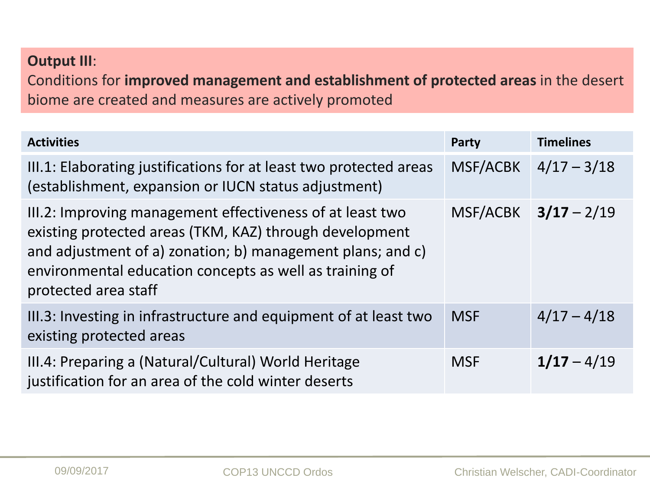#### **Output III**:

Conditions for **improved management and establishment of protected areas** in the desert biome are created and measures are actively promoted

| <b>Activities</b>                                                                                                                                                                                                                                                     | Party           | <b>Timelines</b>         |
|-----------------------------------------------------------------------------------------------------------------------------------------------------------------------------------------------------------------------------------------------------------------------|-----------------|--------------------------|
| III.1: Elaborating justifications for at least two protected areas<br>(establishment, expansion or IUCN status adjustment)                                                                                                                                            | <b>MSF/ACBK</b> | $4/17 - 3/18$            |
| III.2: Improving management effectiveness of at least two<br>existing protected areas (TKM, KAZ) through development<br>and adjustment of a) zonation; b) management plans; and c)<br>environmental education concepts as well as training of<br>protected area staff |                 | $MSF/ACBK$ $3/17 - 2/19$ |
| III.3: Investing in infrastructure and equipment of at least two<br>existing protected areas                                                                                                                                                                          | <b>MSF</b>      | $4/17 - 4/18$            |
| III.4: Preparing a (Natural/Cultural) World Heritage<br>justification for an area of the cold winter deserts                                                                                                                                                          | <b>MSF</b>      | $1/17 - 4/19$            |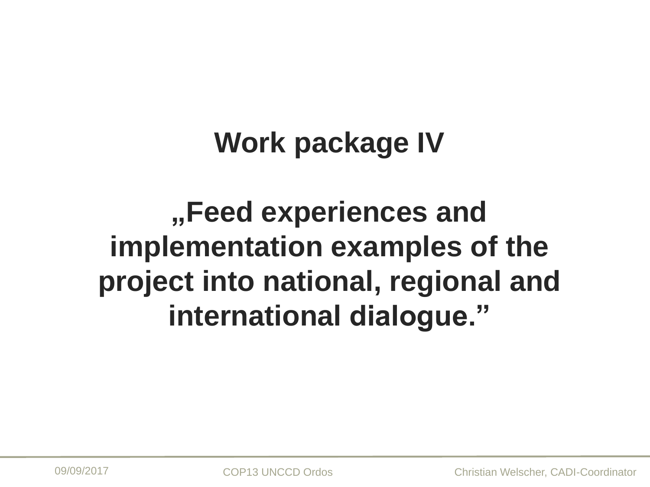### **Work package IV**

**"Feed experiences and implementation examples of the project into national, regional and international dialogue."**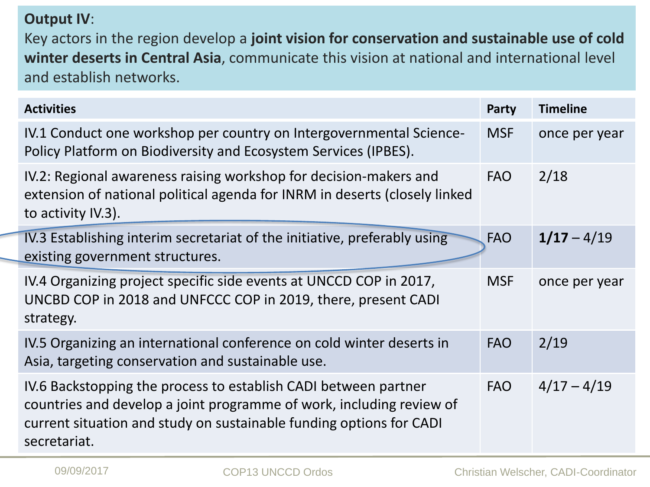#### **Output IV**:

Key actors in the region develop a **joint vision for conservation and sustainable use of cold winter deserts in Central Asia**, communicate this vision at national and international level and establish networks.

| <b>Activities</b>                                                                                                                                                                                                              | Party      | <b>Timeline</b> |
|--------------------------------------------------------------------------------------------------------------------------------------------------------------------------------------------------------------------------------|------------|-----------------|
| IV.1 Conduct one workshop per country on Intergovernmental Science-<br>Policy Platform on Biodiversity and Ecosystem Services (IPBES).                                                                                         | <b>MSF</b> | once per year   |
| IV.2: Regional awareness raising workshop for decision-makers and<br>extension of national political agenda for INRM in deserts (closely linked<br>to activity IV.3).                                                          | <b>FAO</b> | 2/18            |
| IV.3 Establishing interim secretariat of the initiative, preferably using<br>existing government structures.                                                                                                                   | <b>FAO</b> | $1/17 - 4/19$   |
| IV.4 Organizing project specific side events at UNCCD COP in 2017,<br>UNCBD COP in 2018 and UNFCCC COP in 2019, there, present CADI<br>strategy.                                                                               | <b>MSF</b> | once per year   |
| IV.5 Organizing an international conference on cold winter deserts in<br>Asia, targeting conservation and sustainable use.                                                                                                     | <b>FAO</b> | 2/19            |
| IV.6 Backstopping the process to establish CADI between partner<br>countries and develop a joint programme of work, including review of<br>current situation and study on sustainable funding options for CADI<br>secretariat. | <b>FAO</b> | $4/17 - 4/19$   |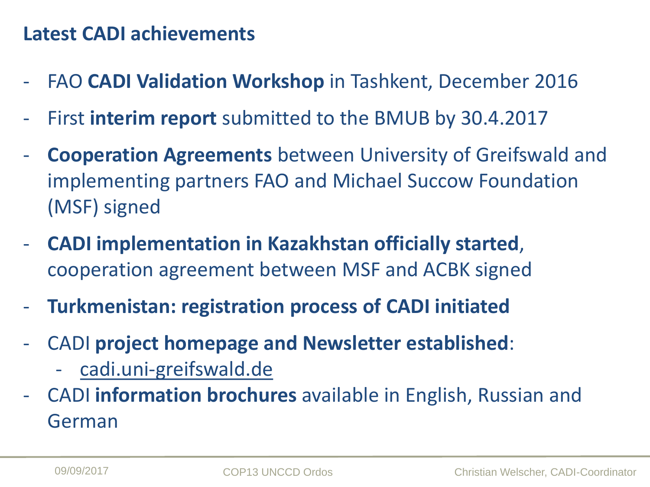### **Latest CADI achievements**

- FAO **CADI Validation Workshop** in Tashkent, December 2016
- First **interim report** submitted to the BMUB by 30.4.2017
- **Cooperation Agreements** between University of Greifswald and implementing partners FAO and Michael Succow Foundation (MSF) signed
- **CADI implementation in Kazakhstan officially started**, cooperation agreement between MSF and ACBK signed
- **Turkmenistan: registration process of CADI initiated**
- CADI **project homepage and Newsletter established**:
	- cadi.uni-greifswald.de
- CADI **information brochures** available in English, Russian and German